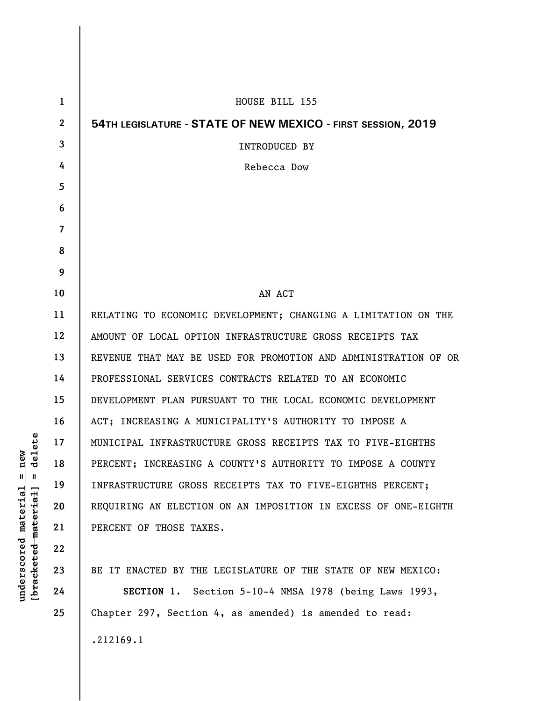| $\mathbf{1}$   | HOUSE BILL 155                                                  |
|----------------|-----------------------------------------------------------------|
| $\overline{2}$ | 54TH LEGISLATURE - STATE OF NEW MEXICO - FIRST SESSION, 2019    |
| 3              | <b>INTRODUCED BY</b>                                            |
| 4              | Rebecca Dow                                                     |
| 5              |                                                                 |
| 6              |                                                                 |
| $\overline{7}$ |                                                                 |
| 8              |                                                                 |
| 9              |                                                                 |
| 10             | AN ACT                                                          |
| 11             | RELATING TO ECONOMIC DEVELOPMENT; CHANGING A LIMITATION ON THE  |
| 12             | AMOUNT OF LOCAL OPTION INFRASTRUCTURE GROSS RECEIPTS TAX        |
| 13             | REVENUE THAT MAY BE USED FOR PROMOTION AND ADMINISTRATION OF OR |
| 14             | PROFESSIONAL SERVICES CONTRACTS RELATED TO AN ECONOMIC          |
| 15             | DEVELOPMENT PLAN PURSUANT TO THE LOCAL ECONOMIC DEVELOPMENT     |
| 16             | ACT; INCREASING A MUNICIPALITY'S AUTHORITY TO IMPOSE A          |
| 17             | MUNICIPAL INFRASTRUCTURE GROSS RECEIPTS TAX TO FIVE-EIGHTHS     |
| 18             | PERCENT; INCREASING A COUNTY'S AUTHORITY TO IMPOSE A COUNTY     |
| 19             | INFRASTRUCTURE GROSS RECEIPTS TAX TO FIVE-EIGHTHS PERCENT;      |
| 20             | REQUIRING AN ELECTION ON AN IMPOSITION IN EXCESS OF ONE-EIGHTH  |
| 21             | PERCENT OF THOSE TAXES.                                         |
| 22             |                                                                 |
| 23             | BE IT ENACTED BY THE LEGISLATURE OF THE STATE OF NEW MEXICO:    |
| 24             | SECTION 1. Section 5-10-4 NMSA 1978 (being Laws 1993,           |
| 25             | Chapter 297, Section 4, as amended) is amended to read:         |

.212169.1

 $[breaked$  material] = delete **[bracketed material] = delete**  $underscored material = new$ **underscored material = new**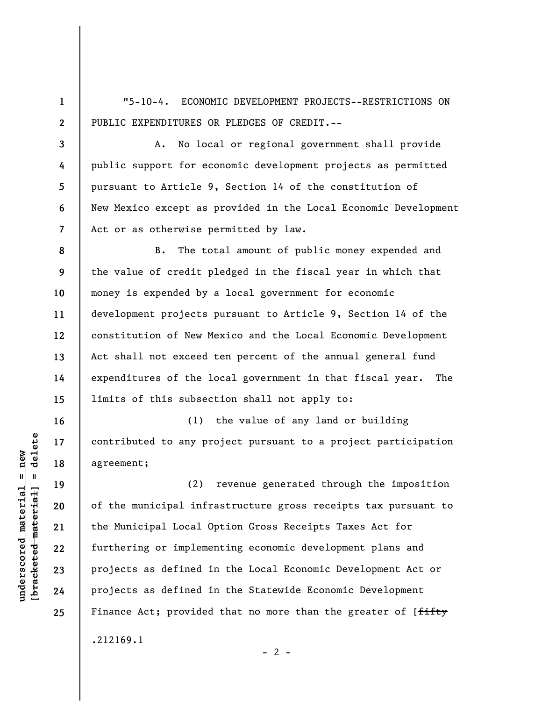"5-10-4. ECONOMIC DEVELOPMENT PROJECTS--RESTRICTIONS ON PUBLIC EXPENDITURES OR PLEDGES OF CREDIT.--

**3 4 5 6 7**  A. No local or regional government shall provide public support for economic development projects as permitted pursuant to Article 9, Section 14 of the constitution of New Mexico except as provided in the Local Economic Development Act or as otherwise permitted by law.

**8 9 10 11 12 13 14 15**  B. The total amount of public money expended and the value of credit pledged in the fiscal year in which that money is expended by a local government for economic development projects pursuant to Article 9, Section 14 of the constitution of New Mexico and the Local Economic Development Act shall not exceed ten percent of the annual general fund expenditures of the local government in that fiscal year. The limits of this subsection shall not apply to:

(1) the value of any land or building contributed to any project pursuant to a project participation agreement;

(2) revenue generated through the imposition of the municipal infrastructure gross receipts tax pursuant to the Municipal Local Option Gross Receipts Taxes Act for furthering or implementing economic development plans and projects as defined in the Local Economic Development Act or projects as defined in the Statewide Economic Development Finance Act; provided that no more than the greater of [<del>fifty</del> .212169.1  $- 2 -$ 

 $\frac{1}{2}$  intereted material = delete **[bracketed material] = delete**  $underscored material = new$ **underscored material = new**

**16** 

**17** 

**18** 

**19** 

**20** 

**21** 

**22** 

**23** 

**24** 

**25** 

**1**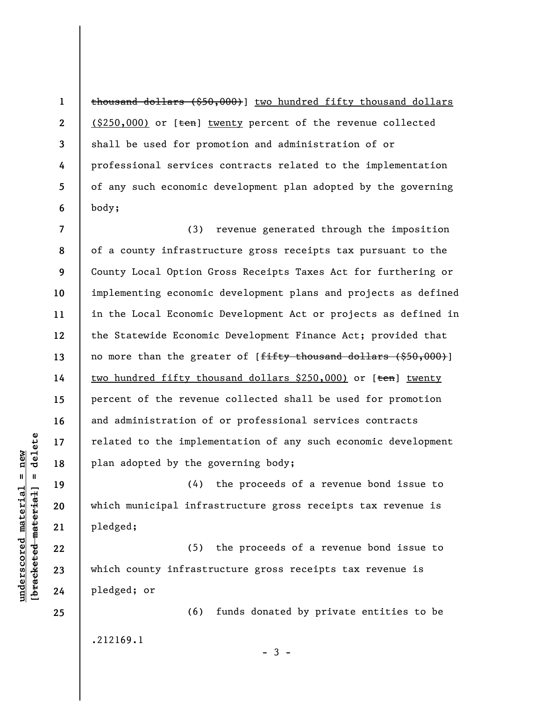**1 2 3 4 5 6**  thousand dollars (\$50,000)] two hundred fifty thousand dollars  $(S250,000)$  or  $[ten]$  twenty percent of the revenue collected shall be used for promotion and administration of or professional services contracts related to the implementation of any such economic development plan adopted by the governing body;

**7 8 9 10 11 12 13 14 15 16 17 18**  (3) revenue generated through the imposition of a county infrastructure gross receipts tax pursuant to the County Local Option Gross Receipts Taxes Act for furthering or implementing economic development plans and projects as defined in the Local Economic Development Act or projects as defined in the Statewide Economic Development Finance Act; provided that no more than the greater of  $f$ <del>fifty thousand dollars (\$50,000)</del>] two hundred fifty thousand dollars  $$250,000$ ) or  $[ten]$  twenty percent of the revenue collected shall be used for promotion and administration of or professional services contracts related to the implementation of any such economic development plan adopted by the governing body;

(4) the proceeds of a revenue bond issue to which municipal infrastructure gross receipts tax revenue is pledged;

(5) the proceeds of a revenue bond issue to which county infrastructure gross receipts tax revenue is pledged; or

(6) funds donated by private entities to be .212169.1

 $-3 -$ 

 $\frac{1}{2}$  intereted material = delete **[bracketed material] = delete**  $underscored material = new$ **underscored material = new**

**19** 

**20** 

**21** 

**22** 

**23** 

**24**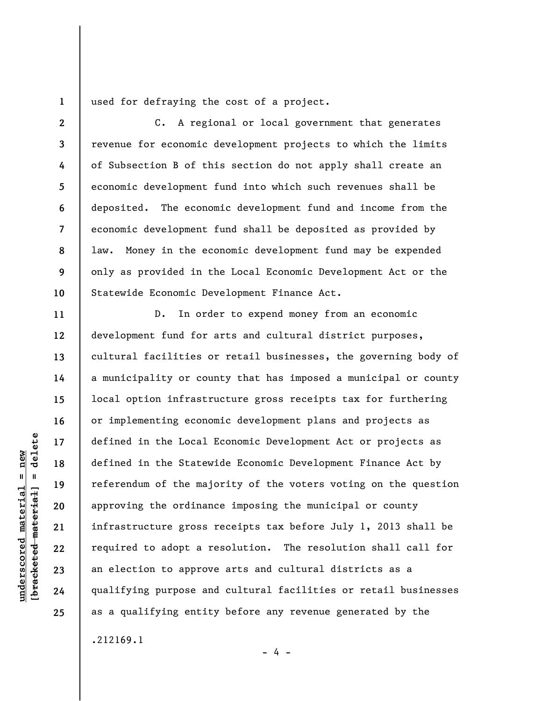used for defraying the cost of a project.

**3 8 10**  C. A regional or local government that generates revenue for economic development projects to which the limits of Subsection B of this section do not apply shall create an economic development fund into which such revenues shall be deposited. The economic development fund and income from the economic development fund shall be deposited as provided by law. Money in the economic development fund may be expended only as provided in the Local Economic Development Act or the Statewide Economic Development Finance Act.

D. In order to expend money from an economic development fund for arts and cultural district purposes, cultural facilities or retail businesses, the governing body of a municipality or county that has imposed a municipal or county local option infrastructure gross receipts tax for furthering or implementing economic development plans and projects as defined in the Local Economic Development Act or projects as defined in the Statewide Economic Development Finance Act by referendum of the majority of the voters voting on the question approving the ordinance imposing the municipal or county infrastructure gross receipts tax before July 1, 2013 shall be required to adopt a resolution. The resolution shall call for an election to approve arts and cultural districts as a qualifying purpose and cultural facilities or retail businesses as a qualifying entity before any revenue generated by the .212169.1

delete **[bracketed material] = delete**  $underscored material = new$ **underscored material = new**  $\frac{1}{2}$ 

**1** 

**2** 

**4** 

**5** 

**6** 

**7** 

**9** 

**11** 

**12** 

**13** 

**14** 

**15** 

**16** 

**17** 

**18** 

**19** 

**20** 

**21** 

**22** 

**23** 

**24** 

**25** 

- 4 -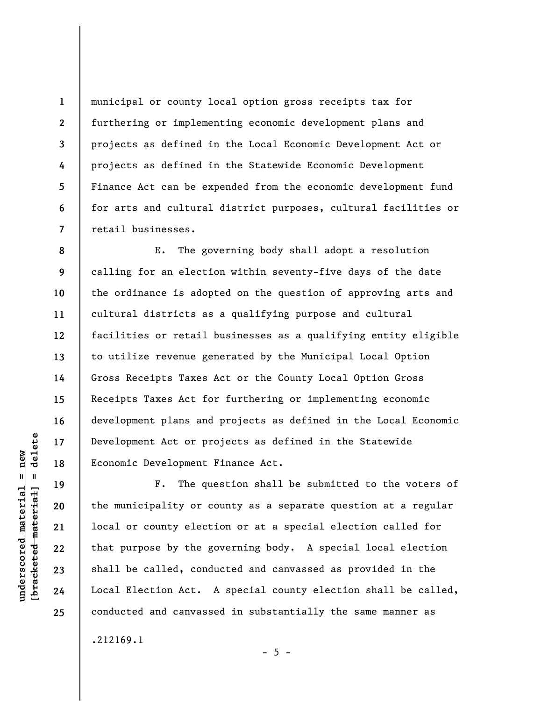municipal or county local option gross receipts tax for furthering or implementing economic development plans and projects as defined in the Local Economic Development Act or projects as defined in the Statewide Economic Development Finance Act can be expended from the economic development fund for arts and cultural district purposes, cultural facilities or retail businesses.

**8 9 10 11 12 13 14 15 16 17 18**  E. The governing body shall adopt a resolution calling for an election within seventy-five days of the date the ordinance is adopted on the question of approving arts and cultural districts as a qualifying purpose and cultural facilities or retail businesses as a qualifying entity eligible to utilize revenue generated by the Municipal Local Option Gross Receipts Taxes Act or the County Local Option Gross Receipts Taxes Act for furthering or implementing economic development plans and projects as defined in the Local Economic Development Act or projects as defined in the Statewide Economic Development Finance Act.

F. The question shall be submitted to the voters of the municipality or county as a separate question at a regular local or county election or at a special election called for that purpose by the governing body. A special local election shall be called, conducted and canvassed as provided in the Local Election Act. A special county election shall be called, conducted and canvassed in substantially the same manner as .212169.1

 $- 5 -$ 

 $\frac{1}{2}$  intereted material = delete **[bracketed material] = delete**  $underscored material = new$ **underscored material = new**

**19** 

**20** 

**21** 

**22** 

**23** 

**24** 

**25** 

**1** 

**2** 

**3** 

**4** 

**5** 

**6**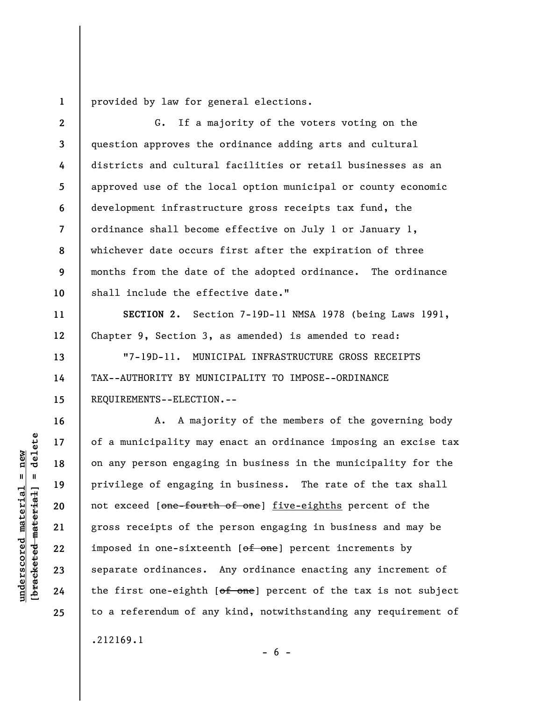**1**  provided by law for general elections.

**2 3 4 5 6 7 8 9 10**  G. If a majority of the voters voting on the question approves the ordinance adding arts and cultural districts and cultural facilities or retail businesses as an approved use of the local option municipal or county economic development infrastructure gross receipts tax fund, the ordinance shall become effective on July 1 or January 1, whichever date occurs first after the expiration of three months from the date of the adopted ordinance. The ordinance shall include the effective date."

**SECTION 2.** Section 7-19D-11 NMSA 1978 (being Laws 1991, Chapter 9, Section 3, as amended) is amended to read:

"7-19D-11. MUNICIPAL INFRASTRUCTURE GROSS RECEIPTS TAX--AUTHORITY BY MUNICIPALITY TO IMPOSE--ORDINANCE REQUIREMENTS--ELECTION.--

A. A majority of the members of the governing body of a municipality may enact an ordinance imposing an excise tax on any person engaging in business in the municipality for the privilege of engaging in business. The rate of the tax shall not exceed [one-fourth of one] five-eighths percent of the gross receipts of the person engaging in business and may be imposed in one-sixteenth [of one] percent increments by separate ordinances. Any ordinance enacting any increment of the first one-eighth  $[off\ -one]$  percent of the tax is not subject to a referendum of any kind, notwithstanding any requirement of .212169.1

 $- 6 -$ 

delete **[bracketed material] = delete**  $anderscored material = new$ **underscored material = new**  $\mathbf{I}$ bracketed material

**11** 

**12** 

**13** 

**14** 

**15** 

**16** 

**17** 

**18** 

**19** 

**20** 

**21** 

**22** 

**23** 

**24**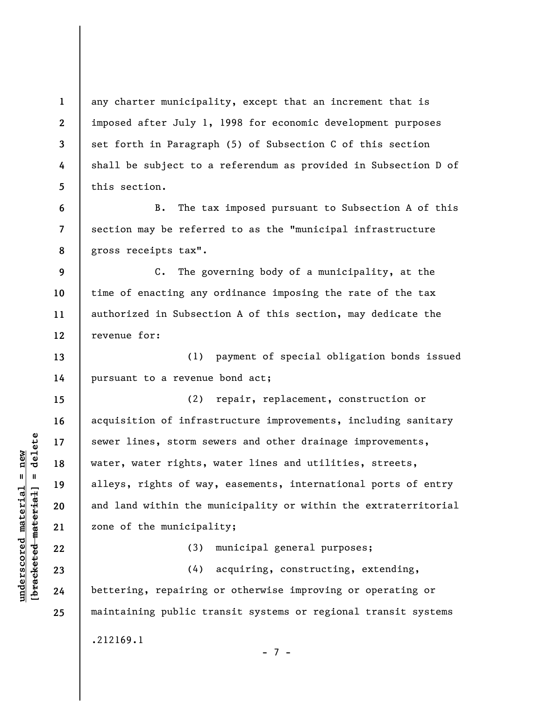any charter municipality, except that an increment that is imposed after July 1, 1998 for economic development purposes set forth in Paragraph (5) of Subsection C of this section shall be subject to a referendum as provided in Subsection D of this section.

**6 7 8**  B. The tax imposed pursuant to Subsection A of this section may be referred to as the "municipal infrastructure gross receipts tax".

**9 10 11 12**  C. The governing body of a municipality, at the time of enacting any ordinance imposing the rate of the tax authorized in Subsection A of this section, may dedicate the revenue for:

**14**  (1) payment of special obligation bonds issued pursuant to a revenue bond act;

(2) repair, replacement, construction or acquisition of infrastructure improvements, including sanitary sewer lines, storm sewers and other drainage improvements, water, water rights, water lines and utilities, streets, alleys, rights of way, easements, international ports of entry and land within the municipality or within the extraterritorial zone of the municipality;

(3) municipal general purposes;

(4) acquiring, constructing, extending, bettering, repairing or otherwise improving or operating or maintaining public transit systems or regional transit systems .212169.1

 $\frac{1}{2}$  intereted material = delete **[bracketed material] = delete**  $underscored material = new$ **underscored material = new**

**1** 

**2** 

**3** 

**4** 

**5** 

**13** 

**15** 

**16** 

**17** 

**18** 

**19** 

**20** 

**21** 

**22** 

**23** 

**24** 

**25** 

- 7 -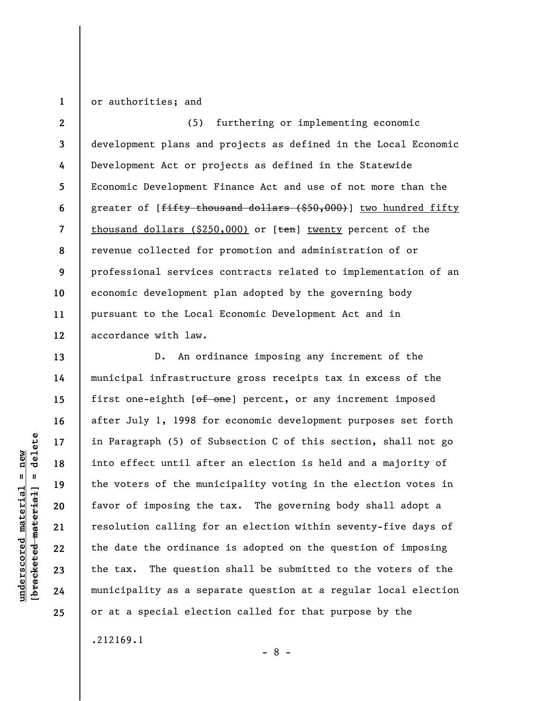## **1**  or authorities; and

**2 3 4 5 6 7 8 9 10 11 12**  (5) furthering or implementing economic development plans and projects as defined in the Local Economic Development Act or projects as defined in the Statewide Economic Development Finance Act and use of not more than the greater of [<del>fifty thousand dollars (\$50,000)</del>] two hundred fifty thousand dollars  $(\$250,000)$  or  $[ten]$  twenty percent of the revenue collected for promotion and administration of or professional services contracts related to implementation of an economic development plan adopted by the governing body pursuant to the Local Economic Development Act and in accordance with law.

D. An ordinance imposing any increment of the municipal infrastructure gross receipts tax in excess of the first one-eighth [of one] percent, or any increment imposed after July 1, 1998 for economic development purposes set forth in Paragraph (5) of Subsection C of this section, shall not go into effect until after an election is held and a majority of the voters of the municipality voting in the election votes in favor of imposing the tax. The governing body shall adopt a resolution calling for an election within seventy-five days of the date the ordinance is adopted on the question of imposing the tax. The question shall be submitted to the voters of the municipality as a separate question at a regular local election or at a special election called for that purpose by the

- 8 -

.212169.1

delete **[bracketed material] = delete**  $underscored material = new$ **underscored material = new**  $\frac{1}{2}$ 

**13** 

**14** 

**15** 

**16** 

**17** 

**18** 

**19** 

**20** 

**21** 

**22** 

**23** 

**24**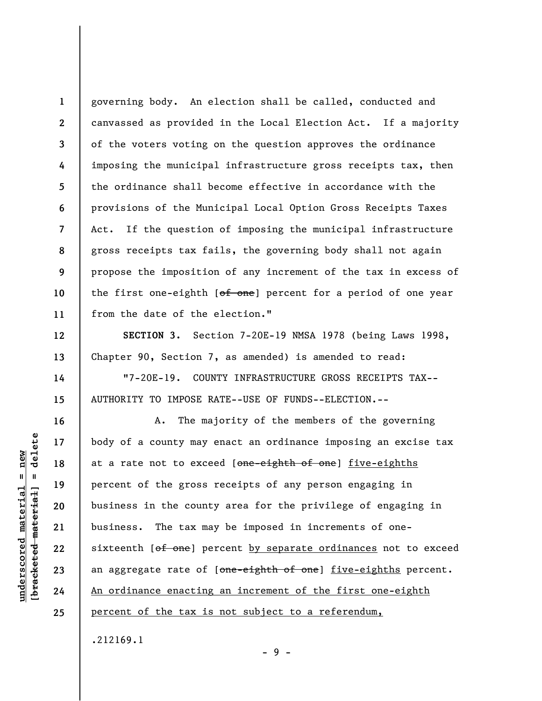**1 2 3 4 5 6 7 8 9 10 11**  governing body. An election shall be called, conducted and canvassed as provided in the Local Election Act. If a majority of the voters voting on the question approves the ordinance imposing the municipal infrastructure gross receipts tax, then the ordinance shall become effective in accordance with the provisions of the Municipal Local Option Gross Receipts Taxes Act. If the question of imposing the municipal infrastructure gross receipts tax fails, the governing body shall not again propose the imposition of any increment of the tax in excess of the first one-eighth [of one] percent for a period of one year from the date of the election."

**SECTION 3.** Section 7-20E-19 NMSA 1978 (being Laws 1998, Chapter 90, Section 7, as amended) is amended to read:

"7-20E-19. COUNTY INFRASTRUCTURE GROSS RECEIPTS TAX-- AUTHORITY TO IMPOSE RATE--USE OF FUNDS--ELECTION.--

A. The majority of the members of the governing body of a county may enact an ordinance imposing an excise tax at a rate not to exceed [one-eighth of one] five-eighths percent of the gross receipts of any person engaging in business in the county area for the privilege of engaging in business. The tax may be imposed in increments of onesixteenth [of one] percent by separate ordinances not to exceed an aggregate rate of [one-eighth of one] five-eighths percent. An ordinance enacting an increment of the first one-eighth percent of the tax is not subject to a referendum,

.212169.1

- 9 -

delete **[bracketed material] = delete**  $anderscored material = new$ **underscored material = new**  $\mathbf{I}$ bracketed material

**12** 

**13** 

**14** 

**15** 

**16** 

**17** 

**18** 

**19** 

**20** 

**21** 

**22** 

**23** 

**24**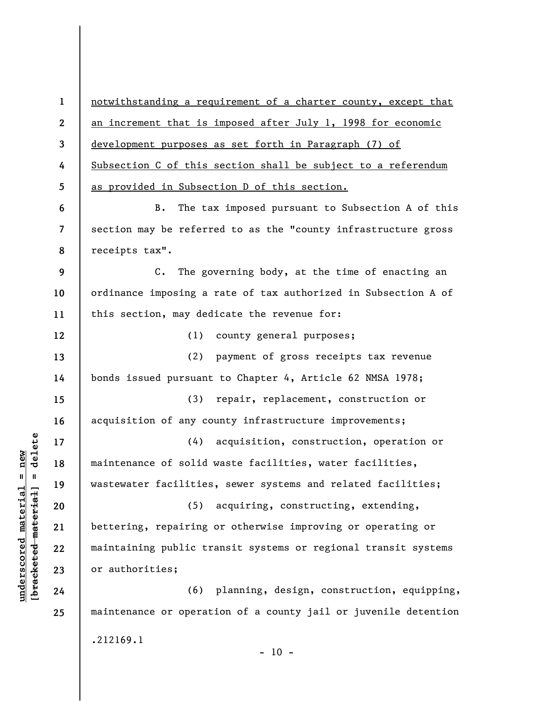**1 2 3 4 5 6 7 8 9 10 11 12 13 14 15 16 17 18 19 20 21 22 23 24 25**  notwithstanding a requirement of a charter county, except that an increment that is imposed after July 1, 1998 for economic development purposes as set forth in Paragraph (7) of Subsection C of this section shall be subject to a referendum as provided in Subsection D of this section. B. The tax imposed pursuant to Subsection A of this section may be referred to as the "county infrastructure gross receipts tax". C. The governing body, at the time of enacting an ordinance imposing a rate of tax authorized in Subsection A of this section, may dedicate the revenue for: (1) county general purposes; (2) payment of gross receipts tax revenue bonds issued pursuant to Chapter 4, Article 62 NMSA 1978; (3) repair, replacement, construction or acquisition of any county infrastructure improvements; (4) acquisition, construction, operation or maintenance of solid waste facilities, water facilities, wastewater facilities, sewer systems and related facilities; (5) acquiring, constructing, extending, bettering, repairing or otherwise improving or operating or maintaining public transit systems or regional transit systems or authorities; (6) planning, design, construction, equipping, maintenance or operation of a county jail or juvenile detention .212169.1

 $- 10 -$ 

 $\frac{1}{2}$  of  $\frac{1}{2}$  and  $\frac{1}{2}$  and  $\frac{1}{2}$  and  $\frac{1}{2}$  and  $\frac{1}{2}$  and  $\frac{1}{2}$  and  $\frac{1}{2}$  and  $\frac{1}{2}$  and  $\frac{1}{2}$  and  $\frac{1}{2}$  and  $\frac{1}{2}$  and  $\frac{1}{2}$  and  $\frac{1}{2}$  and  $\frac{1}{2}$  and  $\frac{1}{2}$  an **[bracketed material] = delete**  $anderscored material = new$ **underscored material = new**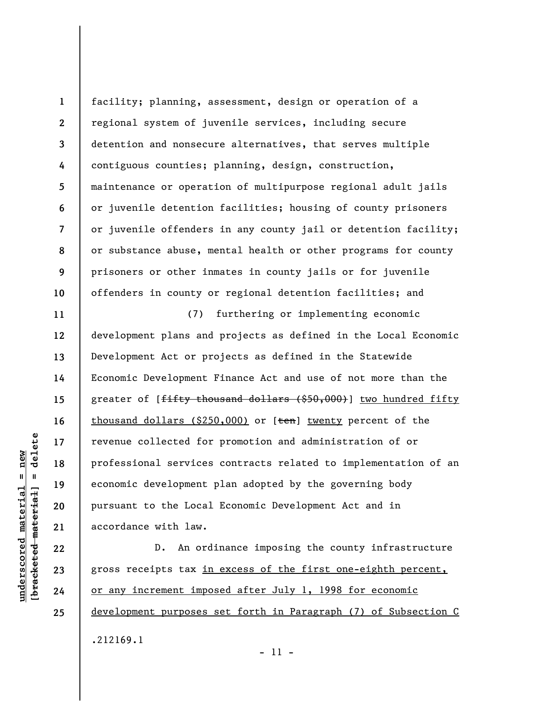**1 2 3 4 5 6 7 8 9 10**  facility; planning, assessment, design or operation of a regional system of juvenile services, including secure detention and nonsecure alternatives, that serves multiple contiguous counties; planning, design, construction, maintenance or operation of multipurpose regional adult jails or juvenile detention facilities; housing of county prisoners or juvenile offenders in any county jail or detention facility; or substance abuse, mental health or other programs for county prisoners or other inmates in county jails or for juvenile offenders in county or regional detention facilities; and

(7) furthering or implementing economic development plans and projects as defined in the Local Economic Development Act or projects as defined in the Statewide Economic Development Finance Act and use of not more than the greater of [fifty thousand dollars (\$50,000)] two hundred fifty thousand dollars (\$250,000) or  $[ten]$  twenty percent of the revenue collected for promotion and administration of or professional services contracts related to implementation of an economic development plan adopted by the governing body pursuant to the Local Economic Development Act and in accordance with law.

D. An ordinance imposing the county infrastructure gross receipts tax in excess of the first one-eighth percent, or any increment imposed after July 1, 1998 for economic development purposes set forth in Paragraph (7) of Subsection C .212169.1

- 11 -

 $\frac{1}{2}$  intereted material = delete **[bracketed material] = delete**  $anderscored material = new$ **underscored material = new**

**11** 

**12** 

**13** 

**14** 

**15** 

**16** 

**17** 

**18** 

**19** 

**20** 

**21** 

**22** 

**23** 

**24**